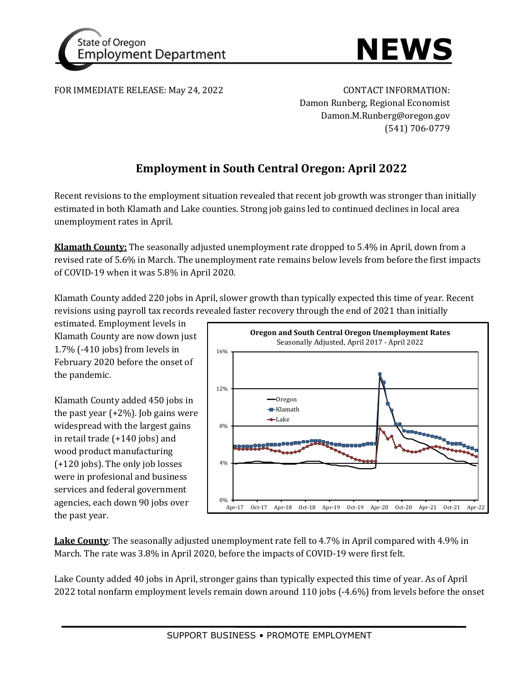



FOR IMMEDIATE RELEASE: May 24, 2022 CONTACT INFORMATION:

Damon Runberg, Regional Economist Damon.M.Runberg@oregon.gov (541) 706-0779

# **Employment in South Central Oregon: April 2022**

Recent revisions to the employment situation revealed that recent job growth was stronger than initially estimated in both Klamath and Lake counties. Strong job gains led to continued declines in local area unemployment rates in April.

**Klamath County:** The seasonally adjusted unemployment rate dropped to 5.4% in April, down from a revised rate of 5.6% in March. The unemployment rate remains below levels from before the first impacts of COVID-19 when it was 5.8% in April 2020.

Klamath County added 220 jobs in April, slower growth than typically expected this time of year. Recent revisions using payroll tax records revealed faster recovery through the end of 2021 than initially

estimated. Employment levels in Klamath County are now down just 1.7% (-410 jobs) from levels in February 2020 before the onset of the pandemic.

Klamath County added 450 jobs in the past year  $(+2%)$ . Job gains were widespread with the largest gains in retail trade (+140 jobs) and wood product manufacturing (+120 jobs). The only job losses were in profesional and business services and federal government agencies, each down 90 jobs over the past year.



**Lake County**: The seasonally adjusted unemployment rate fell to 4.7% in April compared with 4.9% in March. The rate was 3.8% in April 2020, before the impacts of COVID-19 were first felt.

Lake County added 40 jobs in April, stronger gains than typically expected this time of year. As of April 2022 total nonfarm employment levels remain down around 110 jobs (-4.6%) from levels before the onset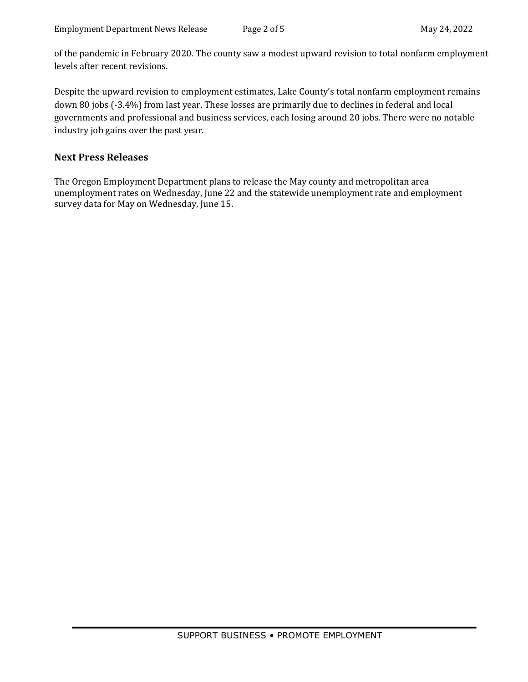of the pandemic in February 2020. The county saw a modest upward revision to total nonfarm employment levels after recent revisions.

Despite the upward revision to employment estimates, Lake County's total nonfarm employment remains down 80 jobs (-3.4%) from last year. These losses are primarily due to declines in federal and local governments and professional and business services, each losing around 20 jobs. There were no notable industry job gains over the past year.

## **Next Press Releases**

The Oregon Employment Department plans to release the May county and metropolitan area unemployment rates on Wednesday, June 22 and the statewide unemployment rate and employment survey data for May on Wednesday, June 15.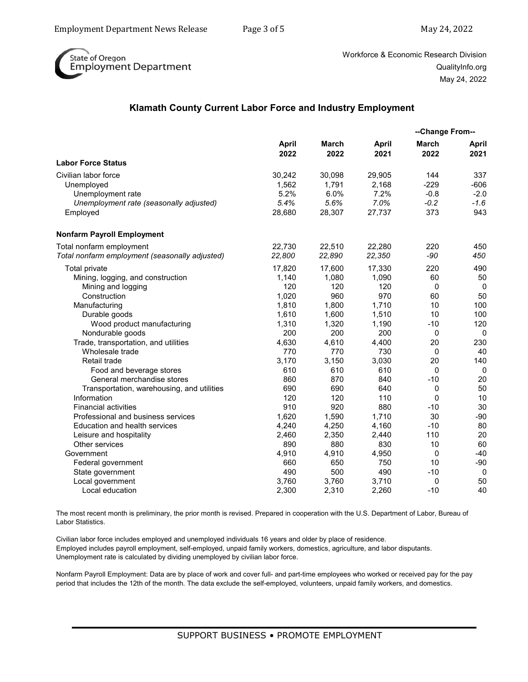

Workforce & Economic Research Division QualityInfo.org May 24, 2022

### **Klamath County Current Labor Force and Industry Employment**

|                                                     |                      |                      |                      | --Change From--      |               |
|-----------------------------------------------------|----------------------|----------------------|----------------------|----------------------|---------------|
|                                                     | <b>April</b><br>2022 | <b>March</b><br>2022 | <b>April</b><br>2021 | <b>March</b><br>2022 | April<br>2021 |
| <b>Labor Force Status</b>                           |                      |                      |                      |                      |               |
| Civilian labor force                                | 30,242<br>1.562      | 30,098<br>1,791      | 29,905<br>2,168      | 144<br>$-229$        | 337<br>$-606$ |
| Unemployed                                          | 5.2%                 | 6.0%                 | 7.2%                 | $-0.8$               | $-2.0$        |
| Unemployment rate                                   | 5.4%                 | 5.6%                 | 7.0%                 | $-0.2$               | $-1.6$        |
| Unemployment rate (seasonally adjusted)<br>Employed | 28,680               | 28,307               | 27,737               | 373                  | 943           |
| <b>Nonfarm Payroll Employment</b>                   |                      |                      |                      |                      |               |
| Total nonfarm employment                            | 22,730               | 22,510               | 22,280               | 220                  | 450           |
| Total nonfarm employment (seasonally adjusted)      | 22,800               | 22,890               | 22,350               | -90                  | 450           |
| Total private                                       | 17,820               | 17,600               | 17,330               | 220                  | 490           |
| Mining, logging, and construction                   | 1,140                | 1,080                | 1,090                | 60                   | 50            |
| Mining and logging                                  | 120                  | 120                  | 120                  | $\Omega$             | $\Omega$      |
| Construction                                        | 1,020                | 960                  | 970                  | 60                   | 50            |
| Manufacturing                                       | 1,810                | 1,800                | 1,710                | 10                   | 100           |
| Durable goods                                       | 1,610                | 1,600                | 1,510                | 10                   | 100           |
| Wood product manufacturing                          | 1,310                | 1,320                | 1,190                | $-10$                | 120           |
| Nondurable goods                                    | 200                  | 200                  | 200                  | $\mathbf{0}$         | 0             |
| Trade, transportation, and utilities                | 4,630                | 4,610                | 4,400                | 20                   | 230           |
| Wholesale trade                                     | 770                  | 770                  | 730                  | 0                    | 40            |
| <b>Retail trade</b>                                 | 3,170                | 3,150                | 3,030                | 20                   | 140           |
| Food and beverage stores                            | 610                  | 610                  | 610                  | 0                    | 0             |
| General merchandise stores                          | 860                  | 870                  | 840                  | $-10$                | 20            |
| Transportation, warehousing, and utilities          | 690                  | 690                  | 640                  | $\mathbf 0$          | 50            |
| Information                                         | 120                  | 120                  | 110                  | 0                    | 10            |
| <b>Financial activities</b>                         | 910                  | 920                  | 880                  | $-10$                | 30            |
| Professional and business services                  | 1,620                | 1,590                | 1,710                | 30                   | $-90$         |
| Education and health services                       | 4,240                | 4,250                | 4,160                | $-10$                | 80            |
| Leisure and hospitality                             | 2,460                | 2,350                | 2,440                | 110                  | 20            |
| Other services                                      | 890                  | 880                  | 830                  | 10                   | 60            |
| Government                                          | 4,910                | 4,910                | 4,950                | 0                    | $-40$         |
| Federal government                                  | 660                  | 650                  | 750                  | 10                   | $-90$         |
| State government                                    | 490                  | 500                  | 490                  | $-10$                | 0             |
| Local government                                    | 3,760                | 3,760                | 3,710                | 0                    | 50            |
| Local education                                     | 2,300                | 2,310                | 2,260                | $-10$                | 40            |

The most recent month is preliminary, the prior month is revised. Prepared in cooperation with the U.S. Department of Labor, Bureau of Labor Statistics.

Civilian labor force includes employed and unemployed individuals 16 years and older by place of residence. Employed includes payroll employment, self-employed, unpaid family workers, domestics, agriculture, and labor disputants. Unemployment rate is calculated by dividing unemployed by civilian labor force.

Nonfarm Payroll Employment: Data are by place of work and cover full- and part-time employees who worked or received pay for the pay period that includes the 12th of the month. The data exclude the self-employed, volunteers, unpaid family workers, and domestics.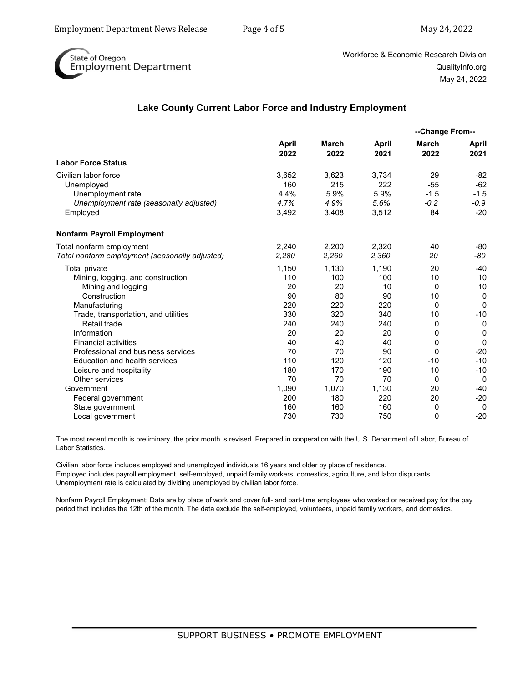

Workforce & Economic Research Division QualityInfo.org May 24, 2022

### **Lake County Current Labor Force and Industry Employment**

|                                                              | April<br>2022 | March<br>2022 | April<br>2021 | --Change From--  |                      |
|--------------------------------------------------------------|---------------|---------------|---------------|------------------|----------------------|
|                                                              |               |               |               | March<br>2022    | <b>April</b><br>2021 |
| <b>Labor Force Status</b>                                    |               |               |               |                  |                      |
| Civilian labor force<br>Unemployed                           | 3,652<br>160  | 3,623<br>215  | 3,734<br>222  | 29<br>$-55$      | $-82$<br>$-62$       |
| Unemployment rate<br>Unemployment rate (seasonally adjusted) | 4.4%<br>4.7%  | 5.9%<br>4.9%  | 5.9%<br>5.6%  | $-1.5$<br>$-0.2$ | $-1.5$<br>-0.9       |
| Employed                                                     | 3,492         | 3,408         | 3,512         | 84               | $-20$                |
| <b>Nonfarm Payroll Employment</b>                            |               |               |               |                  |                      |
| Total nonfarm employment                                     | 2.240         | 2.200         | 2.320         | 40               | $-80$                |
| Total nonfarm employment (seasonally adjusted)               | 2,280         | 2,260         | 2,360         | 20               | -80                  |
| <b>Total private</b>                                         | 1,150         | 1,130         | 1,190         | 20               | $-40$                |
| Mining, logging, and construction                            | 110           | 100           | 100           | 10               | 10                   |
| Mining and logging                                           | 20            | 20            | 10            | $\Omega$         | 10                   |
| Construction                                                 | 90            | 80            | 90            | 10               | $\mathbf 0$          |
| Manufacturing                                                | 220           | 220           | 220           | $\Omega$         | 0                    |
| Trade, transportation, and utilities                         | 330           | 320           | 340           | 10               | $-10$                |
| Retail trade                                                 | 240           | 240           | 240           | 0                | 0                    |
| Information                                                  | 20            | 20            | 20            | 0                | $\mathbf 0$          |
| <b>Financial activities</b>                                  | 40            | 40            | 40            | 0                | $\mathbf 0$          |
| Professional and business services                           | 70            | 70            | 90            | $\Omega$         | $-20$                |
| Education and health services                                | 110           | 120           | 120           | $-10$            | $-10$                |
| Leisure and hospitality                                      | 180           | 170           | 190           | 10               | $-10$                |
| Other services                                               | 70            | 70            | 70            | 0                | 0                    |
| Government                                                   | 1,090         | 1,070         | 1,130         | 20               | $-40$                |
| Federal government                                           | 200           | 180           | 220           | 20               | $-20$                |
| State government                                             | 160           | 160           | 160           | 0                | $\Omega$             |
| Local government                                             | 730           | 730           | 750           | $\Omega$         | $-20$                |

The most recent month is preliminary, the prior month is revised. Prepared in cooperation with the U.S. Department of Labor, Bureau of Labor Statistics.

Civilian labor force includes employed and unemployed individuals 16 years and older by place of residence. Employed includes payroll employment, self-employed, unpaid family workers, domestics, agriculture, and labor disputants. Unemployment rate is calculated by dividing unemployed by civilian labor force.

Nonfarm Payroll Employment: Data are by place of work and cover full- and part-time employees who worked or received pay for the pay period that includes the 12th of the month. The data exclude the self-employed, volunteers, unpaid family workers, and domestics.